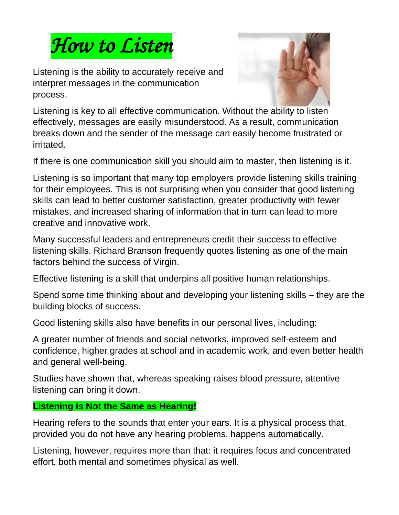

Listening is the ability to accurately receive and interpret messages in the communication process.



Listening is key to all effective communication. Without the ability to listen effectively, messages are easily misunderstood. As a result, communication breaks down and the sender of the message can easily become frustrated or irritated.

If there is one communication skill you should aim to master, then listening is it.

Listening is so important that many top employers provide listening skills training for their employees. This is not surprising when you consider that good listening skills can lead to better customer satisfaction, greater productivity with fewer mistakes, and increased sharing of information that in turn can lead to more creative and innovative work.

Many successful leaders and entrepreneurs credit their success to effective listening skills. Richard Branson frequently quotes listening as one of the main factors behind the success of Virgin.

Effective listening is a skill that underpins all positive human relationships.

Spend some time thinking about and developing your listening skills – they are the building blocks of success.

Good listening skills also have benefits in our personal lives, including:

A greater number of friends and social networks, improved self-esteem and confidence, higher grades at school and in academic work, and even better health and general well-being.

Studies have shown that, whereas speaking raises blood pressure, attentive listening can bring it down.

### **Listening is Not the Same as Hearing!**

Hearing refers to the sounds that enter your ears. It is a physical process that, provided you do not have any hearing problems, happens automatically.

Listening, however, requires more than that: it requires focus and concentrated effort, both mental and sometimes physical as well.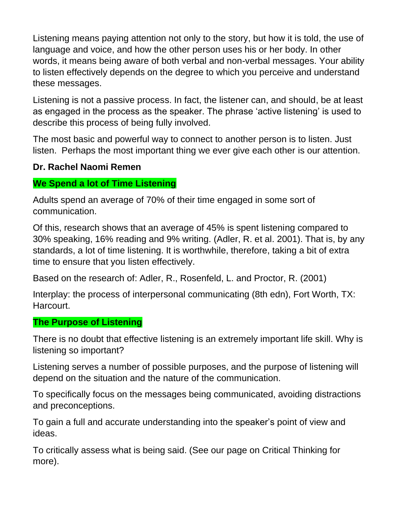Listening means paying attention not only to the story, but how it is told, the use of language and voice, and how the other person uses his or her body. In other words, it means being aware of both verbal and non-verbal messages. Your ability to listen effectively depends on the degree to which you perceive and understand these messages.

Listening is not a passive process. In fact, the listener can, and should, be at least as engaged in the process as the speaker. The phrase 'active listening' is used to describe this process of being fully involved.

The most basic and powerful way to connect to another person is to listen. Just listen. Perhaps the most important thing we ever give each other is our attention.

### **Dr. Rachel Naomi Remen**

#### **We Spend a lot of Time Listening**

Adults spend an average of 70% of their time engaged in some sort of communication.

Of this, research shows that an average of 45% is spent listening compared to 30% speaking, 16% reading and 9% writing. (Adler, R. et al. 2001). That is, by any standards, a lot of time listening. It is worthwhile, therefore, taking a bit of extra time to ensure that you listen effectively.

Based on the research of: Adler, R., Rosenfeld, L. and Proctor, R. (2001)

Interplay: the process of interpersonal communicating (8th edn), Fort Worth, TX: Harcourt.

#### **The Purpose of Listening**

There is no doubt that effective listening is an extremely important life skill. Why is listening so important?

Listening serves a number of possible purposes, and the purpose of listening will depend on the situation and the nature of the communication.

To specifically focus on the messages being communicated, avoiding distractions and preconceptions.

To gain a full and accurate understanding into the speaker's point of view and ideas.

To critically assess what is being said. (See our page on Critical Thinking for more).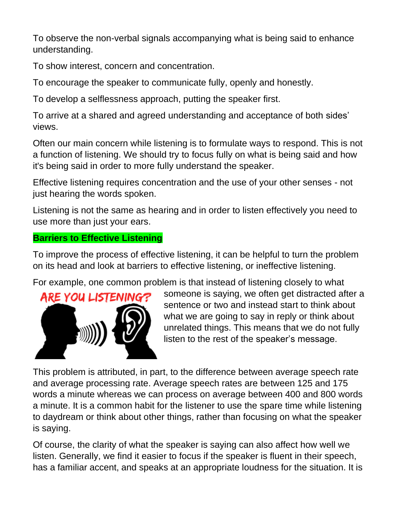To observe the non-verbal signals accompanying what is being said to enhance understanding.

To show interest, concern and concentration.

To encourage the speaker to communicate fully, openly and honestly.

To develop a selflessness approach, putting the speaker first.

To arrive at a shared and agreed understanding and acceptance of both sides' views.

Often our main concern while listening is to formulate ways to respond. This is not a function of listening. We should try to focus fully on what is being said and how it's being said in order to more fully understand the speaker.

Effective listening requires concentration and the use of your other senses - not just hearing the words spoken.

Listening is not the same as hearing and in order to listen effectively you need to use more than just your ears.

## **Barriers to Effective Listening**

To improve the process of effective listening, it can be helpful to turn the problem on its head and look at barriers to effective listening, or ineffective listening.

For example, one common problem is that instead of listening closely to what



someone is saying, we often get distracted after a sentence or two and instead start to think about what we are going to say in reply or think about unrelated things. This means that we do not fully listen to the rest of the speaker's message.

This problem is attributed, in part, to the difference between average speech rate and average processing rate. Average speech rates are between 125 and 175 words a minute whereas we can process on average between 400 and 800 words a minute. It is a common habit for the listener to use the spare time while listening to daydream or think about other things, rather than focusing on what the speaker is saying.

Of course, the clarity of what the speaker is saying can also affect how well we listen. Generally, we find it easier to focus if the speaker is fluent in their speech, has a familiar accent, and speaks at an appropriate loudness for the situation. It is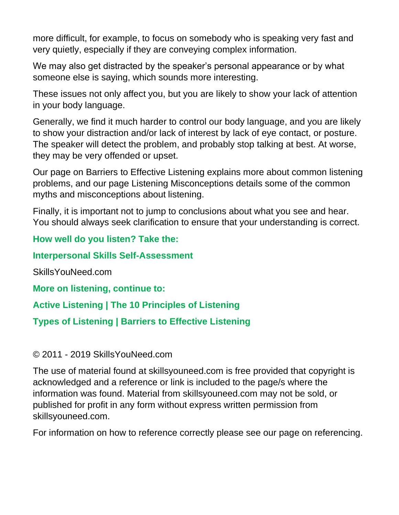more difficult, for example, to focus on somebody who is speaking very fast and very quietly, especially if they are conveying complex information.

We may also get distracted by the speaker's personal appearance or by what someone else is saying, which sounds more interesting.

These issues not only affect you, but you are likely to show your lack of attention in your body language.

Generally, we find it much harder to control our body language, and you are likely to show your distraction and/or lack of interest by lack of eye contact, or posture. The speaker will detect the problem, and probably stop talking at best. At worse, they may be very offended or upset.

Our page on Barriers to Effective Listening explains more about common listening problems, and our page Listening Misconceptions details some of the common myths and misconceptions about listening.

Finally, it is important not to jump to conclusions about what you see and hear. You should always seek clarification to ensure that your understanding is correct.

**How well do you listen? Take the:**

### **Interpersonal Skills Self-Assessment**

SkillsYouNeed.com

**More on listening, continue to:**

**Active Listening | The 10 Principles of Listening** 

**Types of Listening | Barriers to Effective Listening**

© 2011 - 2019 SkillsYouNeed.com

The use of material found at skillsyouneed.com is free provided that copyright is acknowledged and a reference or link is included to the page/s where the information was found. Material from skillsyouneed.com may not be sold, or published for profit in any form without express written permission from skillsyouneed.com.

For information on how to reference correctly please see our page on referencing.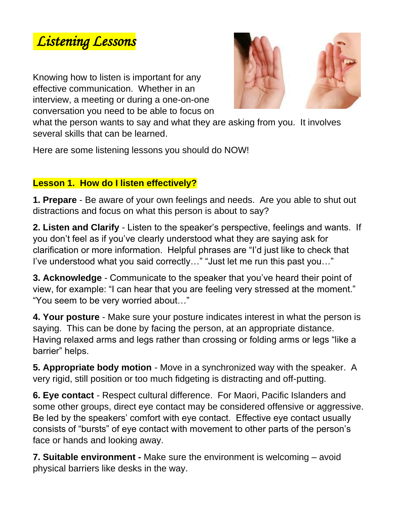

Knowing how to listen is important for any effective communication. Whether in an interview, a meeting or during a one-on-one conversation you need to be able to focus on



what the person wants to say and what they are asking from you. It involves several skills that can be learned.

Here are some listening lessons you should do NOW!

## **Lesson 1. How do I listen effectively?**

**1. Prepare** - Be aware of your own feelings and needs. Are you able to shut out distractions and focus on what this person is about to say?

**2. Listen and Clarify** - Listen to the speaker's perspective, feelings and wants. If you don't feel as if you've clearly understood what they are saying ask for clarification or more information. Helpful phrases are "I'd just like to check that I've understood what you said correctly…" "Just let me run this past you…"

**3. Acknowledge** - Communicate to the speaker that you've heard their point of view, for example: "I can hear that you are feeling very stressed at the moment." "You seem to be very worried about…"

**4. Your posture** - Make sure your posture indicates interest in what the person is saying. This can be done by facing the person, at an appropriate distance. Having relaxed arms and legs rather than crossing or folding arms or legs "like a barrier" helps.

**5. Appropriate body motion** - Move in a synchronized way with the speaker. A very rigid, still position or too much fidgeting is distracting and off-putting.

**6. Eye contact** - Respect cultural difference. For Maori, Pacific Islanders and some other groups, direct eye contact may be considered offensive or aggressive. Be led by the speakers' comfort with eye contact. Effective eye contact usually consists of "bursts" of eye contact with movement to other parts of the person's face or hands and looking away.

**7. Suitable environment -** Make sure the environment is welcoming – avoid physical barriers like desks in the way.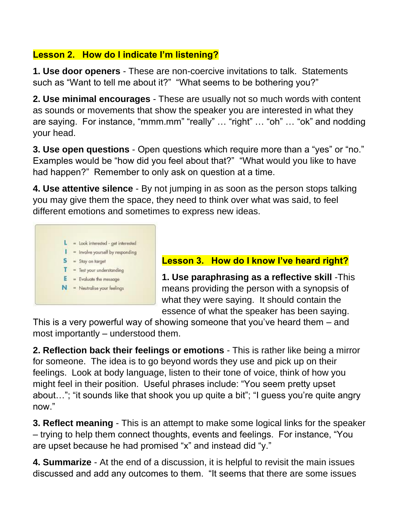# **Lesson 2. How do I indicate I'm listening?**

**1. Use door openers** - These are non-coercive invitations to talk. Statements such as "Want to tell me about it?" "What seems to be bothering you?"

**2. Use minimal encourages** - These are usually not so much words with content as sounds or movements that show the speaker you are interested in what they are saying. For instance, "mmm.mm" "really" … "right" … "oh" … "ok" and nodding your head.

**3. Use open questions** - Open questions which require more than a "yes" or "no." Examples would be "how did you feel about that?" "What would you like to have had happen?" Remember to only ask on question at a time.

**4. Use attentive silence** - By not jumping in as soon as the person stops talking you may give them the space, they need to think over what was said, to feel different emotions and sometimes to express new ideas.



## **Lesson 3. How do I know I've heard right?**

**1. Use paraphrasing as a reflective skill** -This means providing the person with a synopsis of what they were saying. It should contain the essence of what the speaker has been saying.

This is a very powerful way of showing someone that you've heard them – and most importantly – understood them.

**2. Reflection back their feelings or emotions** - This is rather like being a mirror for someone. The idea is to go beyond words they use and pick up on their feelings. Look at body language, listen to their tone of voice, think of how you might feel in their position. Useful phrases include: "You seem pretty upset about…"; "it sounds like that shook you up quite a bit"; "I guess you're quite angry now."

**3. Reflect meaning** - This is an attempt to make some logical links for the speaker – trying to help them connect thoughts, events and feelings. For instance, "You are upset because he had promised "x" and instead did "y."

**4. Summarize** - At the end of a discussion, it is helpful to revisit the main issues discussed and add any outcomes to them. "It seems that there are some issues